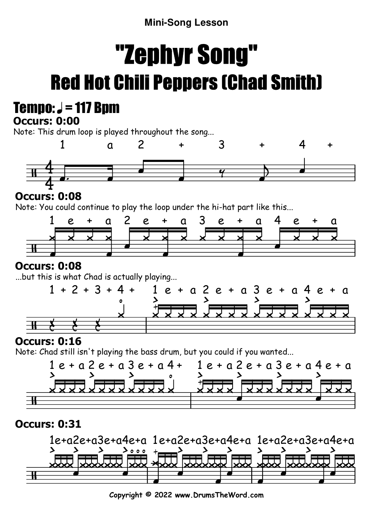# **Mini-Song Lesson**

# "Zephyr Song"Red Hot Chili Peppers (Chad Smith)

# Tempo:  $J = 117$  Bpm

#### **Occurs: 0:00**

Note: This drum loop is played throughout the song...



# **Occurs: 0:08**

Note: You could continue to play the loop under the hi-hat part like this...



# **Occurs: 0:08**

...but this is what Chad is actually playing...



# **Occurs: 0:16**

Note: Chad still isn't playing the bass drum, but you could if you wanted...



# **Occurs: 0:31**



**Copyright © 2022 www.DrumsTheWord.com**